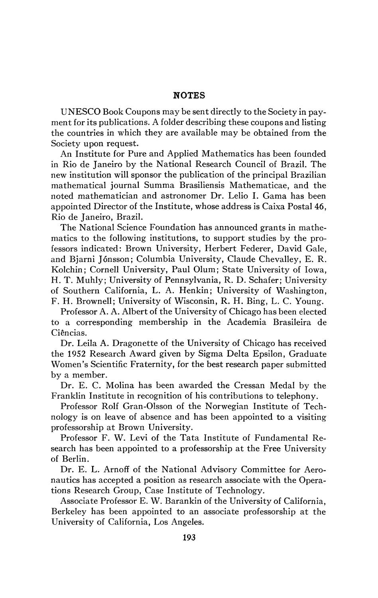## **NOTES**

UNESCO Book Coupons may be sent directly to the Society in payment for its publications. A folder describing these coupons and listing the countries in which they are available may be obtained from the Society upon request.

An Institute for Pure and Applied Mathematics has been founded in Rio de Janeiro by the National Research Council of Brazil. The new institution will sponsor the publication of the principal Brazilian mathematical journal Summa Brasiliensis Mathematicae, and the noted mathematician and astronomer Dr. Lelio I. Gama has been appointed Director of the Institute, whose address is Caixa Postal 46, Rio de Janeiro, Brazil.

The National Science Foundation has announced grants in mathematics to the following institutions, to support studies by the professors indicated: Brown University, Herbert Federer, David Gale, and Bjarni Jónsson; Columbia University, Claude Chevalley, E. R. Kolchin; Cornell University, Paul Olum; State University of Iowa, H. T. Muhly; University of Pennsylvania, R. D. Schafer; University of Southern California, L. A. Henkin; University of Washington, F. H. Brownell; University of Wisconsin, R. H. Bing, L. C. Young.

Professor A. A. Albert of the University of Chicago has been elected to a corresponding membership in the Academia Brasileira de Ciências.

Dr. Leila A. Dragonette of the University of Chicago has received the 1952 Research Award given by Sigma Delta Epsilon, Graduate Women's Scientific Fraternity, for the best research paper submitted by a member.

Dr. E. C. Molina has been awarded the Cressan Medal by the Franklin Institute in recognition of his contributions to telephony.

Professor Rolf Gran-Olsson of the Norwegian Institute of Technology is on leave of absence and has been appointed to a visiting professorship at Brown University.

Professor F. W. Levi of the Tata Institute of Fundamental Research has been appointed to a professorship at the Free University of Berlin.

Dr. E. L. Arnoff of the National Advisory Committee for Aeronautics has accepted a position as research associate with the Operations Research Group, Case Institute of Technology.

Associate Professor E. W. Barankin of the University of California, Berkeley has been appointed to an associate professorship at the University of California, Los Angeles.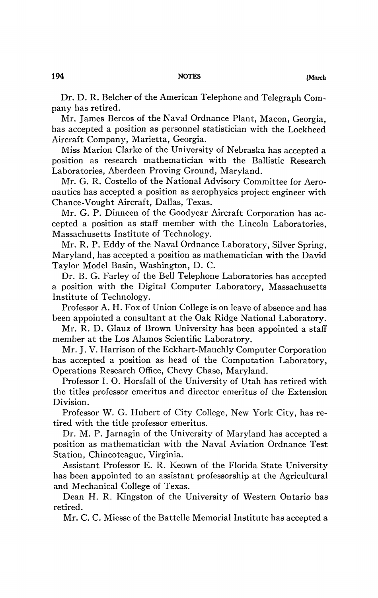Dr. D. R. Belcher of the American Telephone and Telegraph Company has retired.

Mr. James Bercos of the Naval Ordnance Plant, Macon, Georgia, has accepted a position as personnel statistician with the Lockheed Aircraft Company, Marietta, Georgia.

Miss Marion Clarke of the University of Nebraska has accepted a position as research mathematician with the Ballistic Research Laboratories, Aberdeen Proving Ground, Maryland.

Mr. G. R. Costello of the National Advisory Committee for Aeronautics has accepted a position as aerophysics project engineer with Chance-Vought Aircraft, Dallas, Texas.

Mr. G. P. Dinneen of the Goodyear Aircraft Corporation has accepted a position as staff member with the Lincoln Laboratories, Massachusetts Institute of Technology.

Mr. R. P. Eddy of the Naval Ordnance Laboratory, Silver Spring, Maryland, has accepted a position as mathematician with the David Taylor Model Basin, Washington, D. C.

Dr. B. G. Farley of the Bell Telephone Laboratories has accepted a position with the Digital Computer Laboratory, Massachusetts Institute of Technology.

Professor A. H. Fox of Union College is on leave of absence and has been appointed a consultant at the Oak Ridge National Laboratory.

Mr. R. D. Glauz of Brown University has been appointed a staff member at the Los Alamos Scientific Laboratory.

Mr. J. V. Harrison of the Eckhart-Mauchly Computer Corporation has accepted a position as head of the Computation Laboratory, Operations Research Office, Chevy Chase, Maryland.

Professor I. O. Horsfall of the University of Utah has retired with the titles professor emeritus and director emeritus of the Extension Division.

Professor W. G. Hubert of City College, New York City, has retired with the title professor emeritus.

Dr. M. P. Jarnagin of the University of Maryland has accepted a position as mathematician with the Naval Aviation Ordnance Test Station, Chincoteague, Virginia.

Assistant Professor E. R. Keown of the Florida State University has been appointed to an assistant professorship at the Agricultural and Mechanical College of Texas.

Dean H. R. Kingston of the University of Western Ontario has retired.

Mr. C. C. Miesse of the Battelle Memorial Institute has accepted a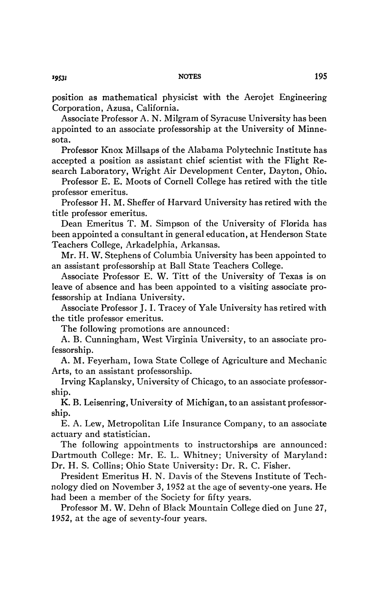position as mathematical physicist with the Aerojet Engineering Corporation, Azusa, California.

Associate Professor A. N. Milgram of Syracuse University has been appointed to an associate professorship at the University of Minnesota.

Professor Knox Millsaps of the Alabama Polytechnic Institute has accepted a position as assistant chief scientist with the Flight Research Laboratory, Wright Air Development Center, Dayton, Ohio.

Professor E. E. Moots of Cornell College has retired with the title professor emeritus.

Professor H. M. Sheffer of Harvard University has retired with the title professor emeritus.

Dean Emeritus T. M. Simpson of the University of Florida has been appointed a consultant in general education, at Henderson State Teachers College, Arkadelphia, Arkansas.

Mr. H. W. Stephens of Columbia University has been appointed to an assistant professorship at Ball State Teachers College.

Associate Professor E. W. Titt of the University of Texas is on leave of absence and has been appointed to a visiting associate professorship at Indiana University.

Associate Professor J.I. Tracey of Yale University has retired with the title professor emeritus.

The following promotions are announced:

A. B. Cunningham, West Virginia University, to an associate professorship.

A. M. Feyerham, Iowa State College of Agriculture and Mechanic Arts, to an assistant professorship.

Irving Kaplansky, University of Chicago, to an associate professorship.

K. B. Leisenring, University of Michigan, to an assistant professorship.

E. A. Lew, Metropolitan Life Insurance Company, to an associate actuary and statistician.

The following appointments to instructorships are announced: Dartmouth College: Mr. E. L. Whitney; University of Maryland: Dr. H. S. Collins; Ohio State University: Dr. R. C. Fisher.

President Emeritus H. N. Davis of the Stevens Institute of Technology died on November 3, 1952 at the age of seventy-one years. He had been a member of the Society for fifty years.

Professor M. W. Dehn of Black Mountain College died on June 27, 1952, at the age of seventy-four years.